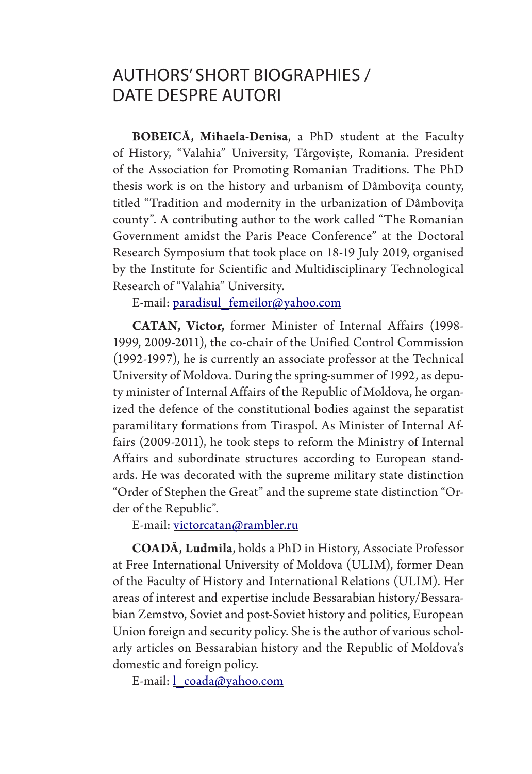**BOBEICĂ, Mihaela-Denisa**, a PhD student at the Faculty of History, "Valahia" University, Târgoviște, Romania. President of the Association for Promoting Romanian Traditions. The PhD thesis work is on the history and urbanism of Dâmbovița county, titled "Tradition and modernity in the urbanization of Dâmbovița county". A contributing author to the work called "The Romanian Government amidst the Paris Peace Conference" at the Doctoral Research Symposium that took place on 18-19 July 2019, organised by the Institute for Scientific and Multidisciplinary Technological Research of "Valahia" University.

E-mail: paradisul\_femeilor@yahoo.com

**CATAN, Victor,** former Minister of Internal Affairs (1998- 1999, 2009-2011), the co-chair of the Unified Control Commission (1992-1997), he is currently an associate professor at the Technical University of Moldova. During the spring-summer of 1992, as deputy minister of Internal Affairs of the Republic of Moldova, he organized the defence of the constitutional bodies against the separatist paramilitary formations from Tiraspol. As Minister of Internal Affairs (2009-2011), he took steps to reform the Ministry of Internal Affairs and subordinate structures according to European standards. He was decorated with the supreme military state distinction "Order of Stephen the Great" and the supreme state distinction "Order of the Republic".

E-mail: victorcatan@rambler.ru

**COADĂ, Ludmila**, holds a PhD in History, Associate Professor at Free International University of Moldova (ULIM), former Dean of the Faculty of History and International Relations (ULIM). Her areas of interest and expertise include Bessarabian history/Bessarabian Zemstvo, Soviet and post-Soviet history and politics, European Union foreign and security policy. She is the author of various scholarly articles on Bessarabian history and the Republic of Moldova's domestic and foreign policy.

E-mail: *coada@yahoo.com*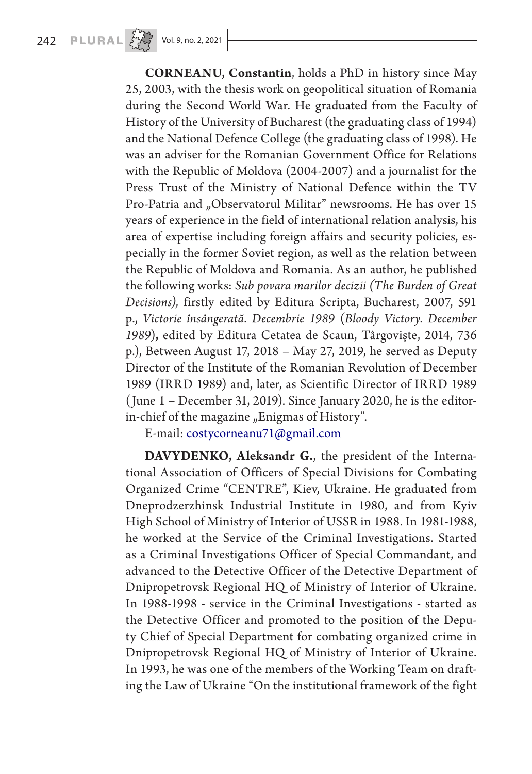**CORNEANU, Constantin**, holds a PhD in history since May 25, 2003, with the thesis work on geopolitical situation of Romania during the Second World War. He graduated from the Faculty of History of the University of Bucharest (the graduating class of 1994) and the National Defence College (the graduating class of 1998). He was an adviser for the Romanian Government Office for Relations with the Republic of Moldova (2004-2007) and a journalist for the Press Trust of the Ministry of National Defence within the TV Pro-Patria and "Observatorul Militar" newsrooms. He has over 15 years of experience in the field of international relation analysis, his area of expertise including foreign affairs and security policies, especially in the former Soviet region, as well as the relation between the Republic of Moldova and Romania. As an author, he published the following works: *Sub povara marilor decizii (The Burden of Great Decisions),* firstly edited by Editura Scripta, Bucharest, 2007, 591 p., *Victorie însângerată. Decembrie 1989* (*Bloody Victory. December 1989*)**,** edited by Editura Cetatea de Scaun, Târgovişte, 2014, 736 p.), Between August 17, 2018 – May 27, 2019, he served as Deputy Director of the Institute of the Romanian Revolution of December 1989 (IRRD 1989) and, later, as Scientific Director of IRRD 1989 (June 1 – December 31, 2019). Since January 2020, he is the editorin-chief of the magazine "Enigmas of History".

E-mail: costycorneanu71@gmail.com

**DAVYDENKO, Aleksandr G.**, the president of the International Association of Officers of Special Divisions for Combating Organized Crime "CENTRE", Kiev, Ukraine. He graduated from Dneprodzerzhinsk Industrial Institute in 1980, and from Kyiv High School of Ministry of Interior of USSR in 1988. In 1981-1988, he worked at the Service of the Criminal Investigations. Started as a Criminal Investigations Officer of Special Commandant, and advanced to the Detective Officer of the Detective Department of Dnipropetrovsk Regional HQ of Ministry of Interior of Ukraine. In 1988-1998 - service in the Criminal Investigations - started as the Detective Officer and promoted to the position of the Deputy Chief of Special Department for combating organized crime in Dnipropetrovsk Regional HQ of Ministry of Interior of Ukraine. In 1993, he was one of the members of the Working Team on drafting the Law of Ukraine "On the institutional framework of the fight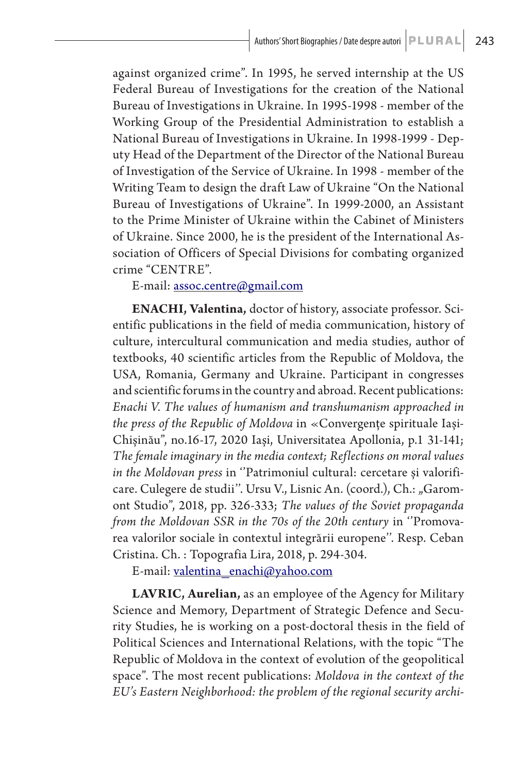against organized crime". In 1995, he served internship at the US Federal Bureau of Investigations for the creation of the National Bureau of Investigations in Ukraine. In 1995-1998 - member of the Working Group of the Presidential Administration to establish a National Bureau of Investigations in Ukraine. In 1998-1999 - Deputy Head of the Department of the Director of the National Bureau of Investigation of the Service of Ukraine. In 1998 - member of the Writing Team to design the draft Law of Ukraine "On the National Bureau of Investigations of Ukraine". In 1999-2000, an Assistant to the Prime Minister of Ukraine within the Cabinet of Ministers of Ukraine. Since 2000, he is the president of the International Association of Officers of Special Divisions for combating organized crime "CENTRE".

## E-mail: assoc.centre@gmail.com

**ENACHI, Valentina,** doctor of history, associate professor. Scientific publications in the field of media communication, history of culture, intercultural communication and media studies, author of textbooks, 40 scientific articles from the Republic of Moldova, the USA, Romania, Germany and Ukraine. Participant in congresses and scientific forums in the country and abroad. Recent publications: *Enachi V. The values of humanism and transhumanism approached in the press of the Republic of Moldova* in «Convergențe spirituale Iași-Chișinău", no.16-17, 2020 Iași, Universitatea Apollonia, p.1 31-141; *The female imaginary in the media context; Reflections on moral values in the Moldovan press* in ''Patrimoniul cultural: cercetare și valorificare. Culegere de studii". Ursu V., Lisnic An. (coord.), Ch.: "Garomont Studio", 2018, pp. 326-333; *The values of the Soviet propaganda from the Moldovan SSR in the 70s of the 20th century* in ''Promovarea valorilor sociale în contextul integrării europene''. Resp. Ceban Cristina. Ch. : Topografia Lira, 2018, p. 294-304.

E-mail: valentina\_enachi@yahoo.com

**LAVRIC, Aurelian,** as an employee of the Agency for Military Science and Memory, Department of Strategic Defence and Security Studies, he is working on a post-doctoral thesis in the field of Political Sciences and International Relations, with the topic "The Republic of Moldova in the context of evolution of the geopolitical space". The most recent publications: *Moldova in the context of the EU's Eastern Neighborhood: the problem of the regional security archi-*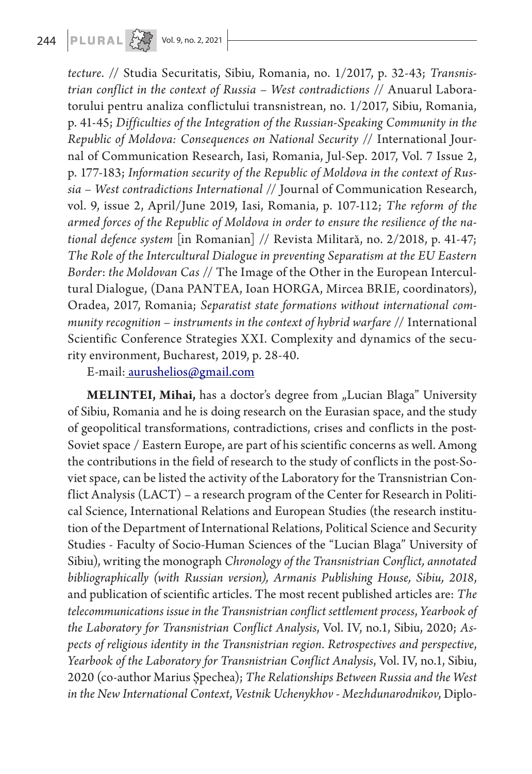*tecture*. // Studia Securitatis, Sibiu, Romania, no. 1/2017, p. 32-43; *Transnistrian conflict in the context of Russia – West contradictions* // Anuarul Laboratorului pentru analiza conflictului transnistrean, no. 1/2017, Sibiu, Romania, p. 41-45; *Difficulties of the Integration of the Russian-Speaking Community in the Republic of Moldova: Consequences on National Security* // International Journal of Communication Research, Iasi, Romania, Jul-Sep. 2017, Vol. 7 Issue 2, p. 177-183; *Information security of the Republic of Moldova in the context of Russia – West contradictions International* // Journal of Communication Research, vol. 9, issue 2, April/June 2019, Iasi, Romania, p. 107-112; *The reform of the armed forces of the Republic of Moldova in order to ensure the resilience of the national defence system* [in Romanian] // Revista Militară, no. 2/2018, p. 41-47; *The Role of the Intercultural Dialogue in preventing Separatism at the EU Eastern Border*: *the Moldovan Cas* // The Image of the Other in the European Intercultural Dialogue, (Dana PANTEA, Ioan HORGA, Mircea BRIE, coordinators), Oradea, 2017, Romania; *Separatist state formations without international community recognition – instruments in the context of hybrid warfare* // International Scientific Conference Strategies XXI. Complexity and dynamics of the security environment, Bucharest, 2019, p. 28-40.

E-mail: aurushelios@gmail.com

**MELINTEI, Mihai,** has a doctor's degree from "Lucian Blaga" University of Sibiu, Romania and he is doing research on the Eurasian space, and the study of geopolitical transformations, contradictions, crises and conflicts in the post-Soviet space / Eastern Europe, are part of his scientific concerns as well. Among the contributions in the field of research to the study of conflicts in the post-Soviet space, can be listed the activity of the Laboratory for the Transnistrian Conflict Analysis (LACT) – a research program of the Center for Research in Political Science, International Relations and European Studies (the research institution of the Department of International Relations, Political Science and Security Studies - Faculty of Socio-Human Sciences of the "Lucian Blaga" University of Sibiu), writing the monograph *Chronology of the Transnistrian Conflict, annotated bibliographically (with Russian version), Armanis Publishing House, Sibiu, 2018*, and publication of scientific articles. The most recent published articles are: *The telecommunications issue in the Transnistrian conflict settlement process*, *Yearbook of the Laboratory for Transnistrian Conflict Analysis*, Vol. IV, no.1, Sibiu, 2020; *Aspects of religious identity in the Transnistrian region. Retrospectives and perspective*, *Yearbook of the Laboratory for Transnistrian Conflict Analysis*, Vol. IV, no.1, Sibiu, 2020 (co-author Marius Șpechea); *The Relationships Between Russia and the West in the New International Context*, *Vestnik Uchenykhov - Mezhdunarodnikov*, Diplo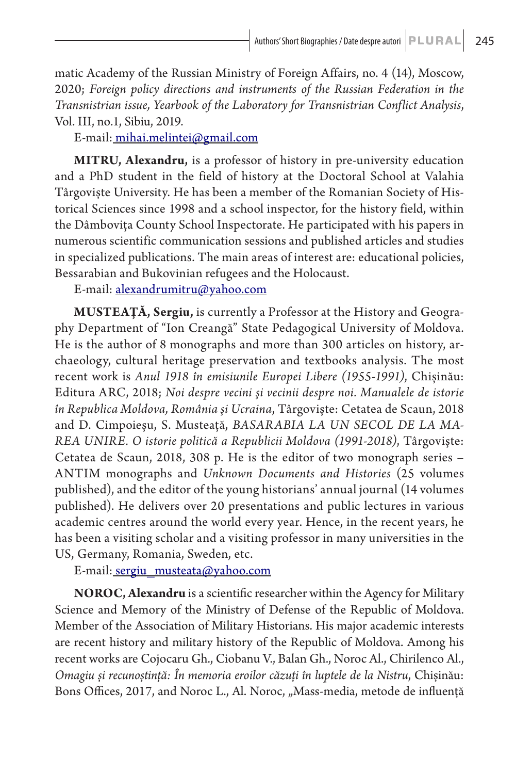matic Academy of the Russian Ministry of Foreign Affairs, no. 4 (14), Moscow, 2020; *Foreign policy directions and instruments of the Russian Federation in the Transnistrian issue, Yearbook of the Laboratory for Transnistrian Conflict Analysis*, Vol. III, no.1, Sibiu, 2019.

E-mail: mihai.melintei@gmail.com

**MITRU, Alexandru,** is a professor of history in pre-university education and a PhD student in the field of history at the Doctoral School at Valahia Târgoviște University. He has been a member of the Romanian Society of Historical Sciences since 1998 and a school inspector, for the history field, within the Dâmbovița County School Inspectorate. He participated with his papers in numerous scientific communication sessions and published articles and studies in specialized publications. The main areas of interest are: educational policies, Bessarabian and Bukovinian refugees and the Holocaust.

E-mail: alexandrumitru@yahoo.com

**MUSTEAȚĂ, Sergiu,** is currently a Professor at the History and Geography Department of "Ion Creangă" State Pedagogical University of Moldova. He is the author of 8 monographs and more than 300 articles on history, archaeology, cultural heritage preservation and textbooks analysis. The most recent work is *Anul 1918 în emisiunile Europei Libere (1955-1991)*, Chișinău: Editura ARC, 2018; *Noi despre vecini şi vecinii despre noi. Manualele de istorie în Republica Moldova, România şi Ucraina*, Târgoviște: Cetatea de Scaun, 2018 and D. Cimpoieșu, S. Musteaţă, *BASARABIA LA UN SECOL DE LA MA-REA UNIRE. O istorie politică a Republicii Moldova (1991-2018)*, Târgoviște: Cetatea de Scaun, 2018, 308 p. He is the editor of two monograph series – ANTIM monographs and *Unknown Documents and Histories* (25 volumes published), and the editor of the young historians' annual journal (14 volumes published). He delivers over 20 presentations and public lectures in various academic centres around the world every year. Hence, in the recent years, he has been a visiting scholar and a visiting professor in many universities in the US, Germany, Romania, Sweden, etc.

E-mail: sergiu\_musteata@yahoo.com

**NOROC, Alexandru** is a scientific researcher within the Agency for Military Science and Memory of the Ministry of Defense of the Republic of Moldova. Member of the Association of Military Historians. His major academic interests are recent history and military history of the Republic of Moldova. Among his recent works are Cojocaru Gh., Ciobanu V., Balan Gh., Noroc Al., Chirilenco Al., *Omagiu și recunoștință: În memoria eroilor căzuți în luptele de la Nistru*, Chișinău: Bons Offices, 2017, and Noroc L., Al. Noroc, "Mass-media, metode de influență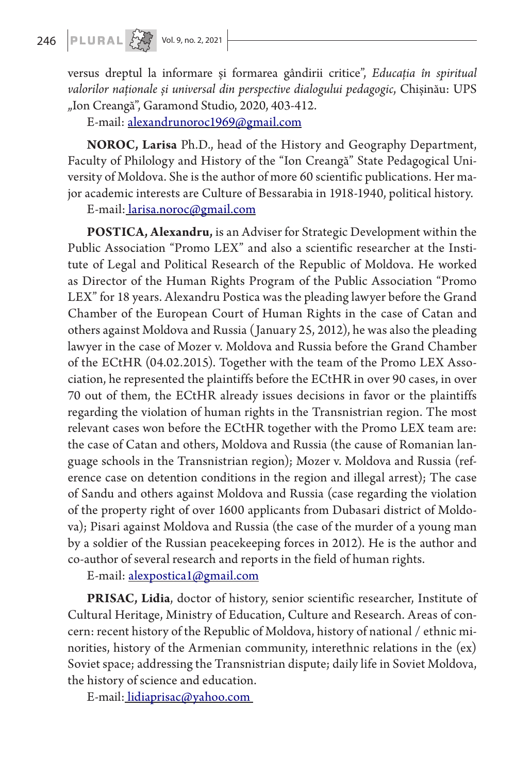versus dreptul la informare și formarea gândirii critice", *Educația în spiritual valorilor naționale și universal din perspective dialogului pedagogic*, Chișinău: UPS "Ion Creangă", Garamond Studio, 2020, 403-412.

E-mail: alexandrunoroc1969@gmail.com

**NOROC, Larisa** Ph.D., head of the History and Geography Department, Faculty of Philology and History of the "Ion Creangă" State Pedagogical University of Moldova. She is the author of more 60 scientific publications. Her major academic interests are Culture of Bessarabia in 1918-1940, political history.

E-mail: larisa.noroc@gmail.com

**POSTICA, Alexandru,** is an Adviser for Strategic Development within the Public Association "Promo LEX" and also a scientific researcher at the Institute of Legal and Political Research of the Republic of Moldova. He worked as Director of the Human Rights Program of the Public Association "Promo LEX" for 18 years. Alexandru Postica was the pleading lawyer before the Grand Chamber of the European Court of Human Rights in the case of Catan and others against Moldova and Russia (January 25, 2012), he was also the pleading lawyer in the case of Mozer v. Moldova and Russia before the Grand Chamber of the ECtHR (04.02.2015). Together with the team of the Promo LEX Association, he represented the plaintiffs before the ECtHR in over 90 cases, in over 70 out of them, the ECtHR already issues decisions in favor or the plaintiffs regarding the violation of human rights in the Transnistrian region. The most relevant cases won before the ECtHR together with the Promo LEX team are: the case of Catan and others, Moldova and Russia (the cause of Romanian language schools in the Transnistrian region); Mozer v. Moldova and Russia (reference case on detention conditions in the region and illegal arrest); The case of Sandu and others against Moldova and Russia (case regarding the violation of the property right of over 1600 applicants from Dubasari district of Moldova); Pisari against Moldova and Russia (the case of the murder of a young man by a soldier of the Russian peacekeeping forces in 2012). He is the author and co-author of several research and reports in the field of human rights.

E-mail: alexpostica1@gmail.com

**PRISAC, Lidia**, doctor of history, senior scientific researcher, Institute of Cultural Heritage, Ministry of Education, Culture and Research. Areas of concern: recent history of the Republic of Moldova, history of national / ethnic minorities, history of the Armenian community, interethnic relations in the (ex) Soviet space; addressing the Transnistrian dispute; daily life in Soviet Moldova, the history of science and education.

E-mail: lidiaprisac@yahoo.com